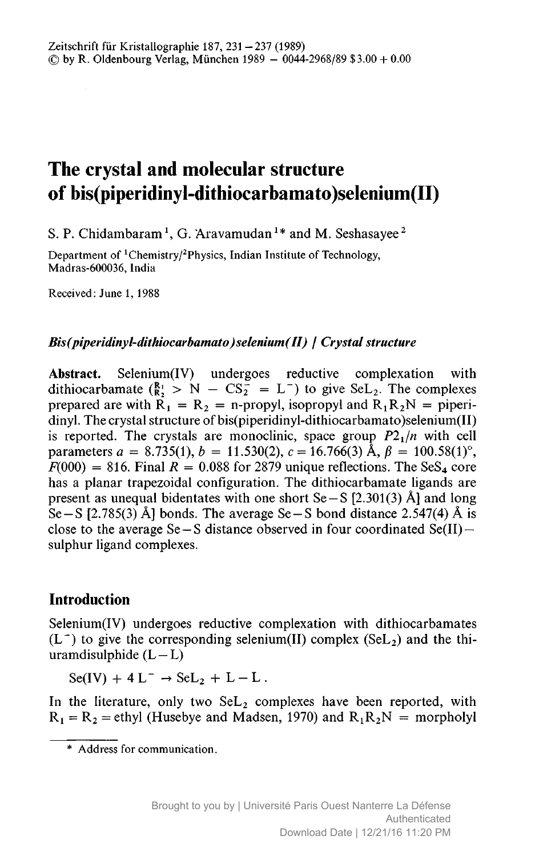# The crystal and molecular structure of bis(piperidinyl-dithiocarbamato)seIenium(II)

S. P. Chidambaram<sup>1</sup>, G. Aravamudan<sup>1</sup>\* and M. Seshasayee<sup>2</sup>

Department of <sup>1</sup>Chemistry/<sup>2</sup>Physics, Indian Institute of Technology, Madras-600036, India

Received: June 1, 1988

#### Bis(piperidinyl-dithiocarbamato)selenium(II) / Crystal structure

Abstract. Selenium(IV) undergoes reductive complexation with dithiocarbamate  $\binom{R_1}{R_2}$  >  $N - CS_2^2 = L^-$  to give  $\text{Sel}_2$ . The complexes prepared are with  $R_1 = R_2 = n$ -propyl, isopropyl and  $R_1R_2N =$  piperidinyl. The crystal structure of bis(piperidinyl-dithiocarbamato)selenium(II) is reported. The crystals are monoclinic, space group  $P2_1/n$  with cell parameters  $a = 8.735(1), b = 11.530(2), c = 16.766(3)$   $\hat{A}, \beta = 100.58(1)^\circ$ ,  $F(000) = 816$ . Final  $R = 0.088$  for 2879 unique reflections. The SeS<sub>4</sub> core has <sup>a</sup> planar trapezoidal configuration. The dithiocarbamate ligands are present as unequal bidentates with one short  $Se-S [2.301(3)$  Å and long Se – S [2.785(3) Å] bonds. The average Se – S bond distance 2.547(4) Å is close to the average Se <sup>S</sup> distance observed in four coordinated Se(II) sulphur ligand complexes.

## Introduction

Selenium(IV) undergoes reductive complexation with dithiocarbamates  $(L^-)$  to give the corresponding selenium(II) complex (SeL<sub>2</sub>) and the thiuramdisulphide  $(L-L)$ 

 $Se(IV) + 4 L^- \rightarrow SeL_2 + L - L$ .

In the literature, only two  $\text{Sel}_2$  complexes have been reported, with  $R_1 = R_2$  = ethyl (Husebye and Madsen, 1970) and  $R_1R_2N$  = morpholyl

Address for communication.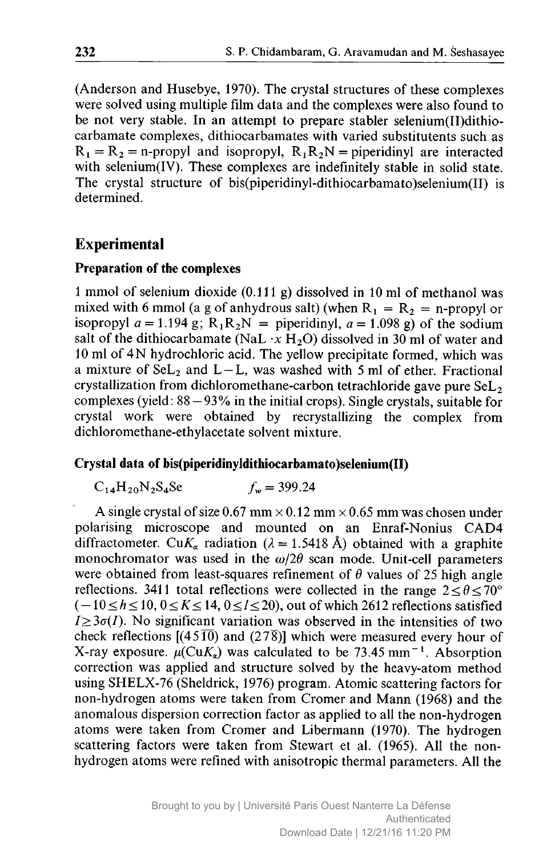(Anderson and Husebye, 1970). The crystal structures of these complexes were solved using multiple film data and the complexes were also found to be not very stable. In an attempt to prepare stabler selenium(II)dithiocarbamate complexes, dithiocarbamates with varied substitutents such as  $R_1 = R_2$  = n-propyl and isopropyl,  $R_1R_2N$  = piperidinyl are interacted with selenium(IV). These complexes are indefinitely stable in solid state. The crystal structure of bis(piperidinyl-dithiocarbamato)selenium(II) is determined.

### Experimental

#### Preparation of the complexes

<sup>1</sup> mmol of selenium dioxide (0.111 g) dissolved in <sup>10</sup> ml of methanol was mixed with 6 mmol (a g of anhydrous salt) (when  $R_1 = R_2 = n$ -propyl or isopropyl  $a = 1.194$  g;  $R_1R_2N =$  piperidinyl,  $a = 1.098$  g) of the sodium salt of the dithiocarbamate (NaL  $\cdot x$  H<sub>2</sub>O) dissolved in 30 ml of water and <sup>10</sup> ml of 4N hydrochloric acid. The yellow precipitate formed, which was a mixture of  $\text{Sel}_2$  and  $L-L$ , was washed with 5 ml of ether. Fractional crystallization from dichloromethane-carbon tetrachloride gave pure  $\text{Sel}_2$ complexes (yield: 88 93% in the initial crops). Single crystals, suitable for — crystal work were obtained by recrystallizing the complex from dichloromethane-ethylacetate solvent mixture.

#### Crystal data of bis(piperidinyldithiocarbamato)selenium(II)

 $C_{14}H_{20}N_2S_4S_5$   $f_w = 399.24$ 

A single crystal of size 0.67 mm  $\times$  0.12 mm  $\times$  0.65 mm was chosen under polarising microscope and mounted on an Enraf-Nonius CAD4 diffractometer. Cu $K_{\alpha}$  radiation ( $\lambda = 1.5418$  Å) obtained with a graphite monochromator was used in the  $\omega/2\theta$  scan mode. Unit-cell parameters were obtained from least-squares refinement of  $\theta$  values of 25 high angle reflections. 3411 total reflections were collected in the range  $2 \le \theta \le 70^{\circ}$  $(-10 \le h \le 10, 0 \le K \le 14, 0 \le l \le 20)$ , out of which 2612 reflections satisfied  $I \geq 3\sigma(I)$ . No significant variation was observed in the intensities of two check reflections [(4510) and (278)] which were measured every hour of X-ray exposure.  $\mu(CuK_{\alpha})$  was calculated to be 73.45 mm<sup>-1</sup>. Absorption correction was applied and structure solved by the heavy-atom method using SHELX-76 (Sheldrick, 1976) program. Atomic scattering factors for non-hydrogen atoms were taken from Cromer and Mann (1968) and the anomalous dispersion correction factor as applied to all the non-hydrogen atoms were taken from Cromer and Libermann (1970). The hydrogen scattering factors were taken from Stewart et al. (1965). All the nonhydrogen atoms were refined with anisotropic thermal parameters. All the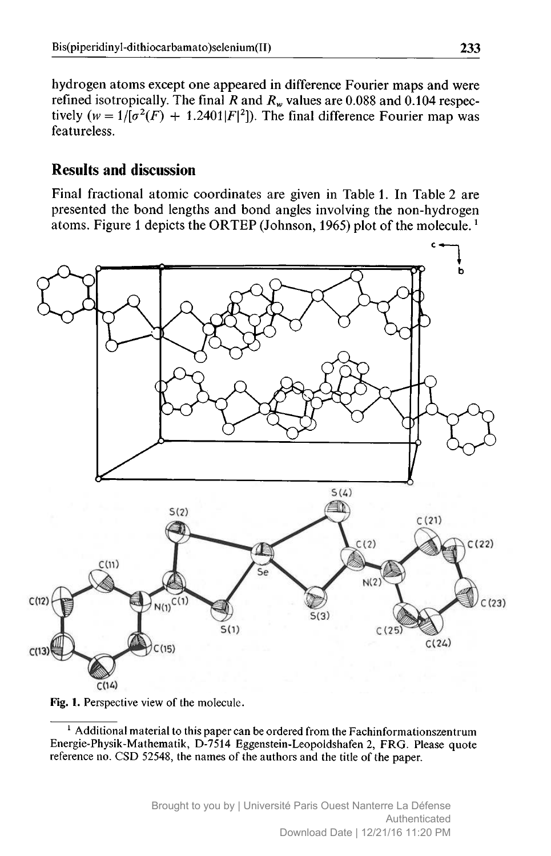hydrogen atoms except one appeared in difference Fourier maps and were refined isotropically. The final R and  $R_w$  values are 0.088 and 0.104 respectively ( $w = 1/[\sigma^2(F) + 1.2401|F|^2]$ ). The final difference Fourier map was featureless.

## Results and discussion

Final fractional atomic coordinates are given in Table 1. In Table <sup>2</sup> are presented the bond lengths and bond angles involving the non-hydrogen atoms. Figure 1 depicts the ORTEP (Johnson, 1965) plot of the molecule.<sup>1</sup>





 $<sup>1</sup>$  Additional material to this paper can be ordered from the Fachinformationszentrum</sup> Energie-Physik-Mathematik, D-7514 Eggenstein-Leopoldshafen 2, FRG. Please quote reference no. CSD 52548, the names of the authors and the title of the paper.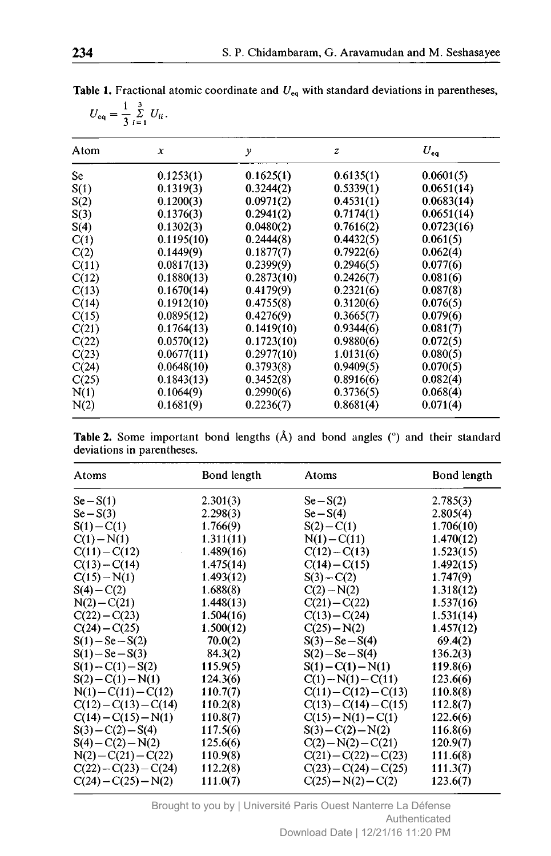| Atom  | x          | $\mathcal{Y}$ | z         | $U_{eq}$   |
|-------|------------|---------------|-----------|------------|
| Se    | 0.1253(1)  | 0.1625(1)     | 0.6135(1) | 0.0601(5)  |
| S(1)  | 0.1319(3)  | 0.3244(2)     | 0.5339(1) | 0.0651(14) |
| S(2)  | 0.1200(3)  | 0.0971(2)     | 0.4531(1) | 0.0683(14) |
| S(3)  | 0.1376(3)  | 0.2941(2)     | 0.7174(1) | 0.0651(14) |
| S(4)  | 0.1302(3)  | 0.0480(2)     | 0.7616(2) | 0.0723(16) |
| C(1)  | 0.1195(10) | 0.2444(8)     | 0.4432(5) | 0.061(5)   |
| C(2)  | 0.1449(9)  | 0.1877(7)     | 0.7922(6) | 0.062(4)   |
| C(11) | 0.0817(13) | 0.2399(9)     | 0.2946(5) | 0.077(6)   |
| C(12) | 0.1880(13) | 0.2873(10)    | 0.2426(7) | 0.081(6)   |
| C(13) | 0.1670(14) | 0.4179(9)     | 0.2321(6) | 0.087(8)   |
| C(14) | 0.1912(10) | 0.4755(8)     | 0.3120(6) | 0.076(5)   |
| C(15) | 0.0895(12) | 0.4276(9)     | 0.3665(7) | 0.079(6)   |
| C(21) | 0.1764(13) | 0.1419(10)    | 0.9344(6) | 0.081(7)   |
| C(22) | 0.0570(12) | 0.1723(10)    | 0.9880(6) | 0.072(5)   |
| C(23) | 0.0677(11) | 0.2977(10)    | 1.0131(6) | 0.080(5)   |
| C(24) | 0.0648(10) | 0.3793(8)     | 0.9409(5) | 0.070(5)   |
| C(25) | 0.1843(13) | 0.3452(8)     | 0.8916(6) | 0.082(4)   |
| N(1)  | 0.1064(9)  | 0.2990(6)     | 0.3736(5) | 0.068(4)   |
| N(2)  | 0.1681(9)  | 0.2236(7)     | 0.8681(4) | 0.071(4)   |

**Table 1.** Fractional atomic coordinate and  $U_{eq}$  with standard deviations in parentheses,  $U_{\text{eq}} = \frac{1}{3} \sum_{i=1}^{3} U_{ii}.$ 

|  | <b>Table 2.</b> Some important bond lengths $(A)$ and bond angles $(°)$ and their standard |  |  |  |  |  |
|--|--------------------------------------------------------------------------------------------|--|--|--|--|--|
|  | deviations in parentheses.                                                                 |  |  |  |  |  |

| Atoms                   | Bond length | Atoms                   | Bond length |
|-------------------------|-------------|-------------------------|-------------|
| $Se-S(1)$               | 2.301(3)    | $Se-S(2)$               | 2.785(3)    |
| $Se-S(3)$               | 2.298(3)    | $Se-S(4)$               | 2.805(4)    |
| $S(1) - C(1)$           | 1.766(9)    | $S(2) - C(1)$           | 1.706(10)   |
| $C(1) - N(1)$           | 1.311(11)   | $N(1) - C(11)$          | 1.470(12)   |
| $C(11) - C(12)$         | 1.489(16)   | $C(12) - C(13)$         | 1.523(15)   |
| $C(13) - C(14)$         | 1.475(14)   | $C(14) - C(15)$         | 1.492(15)   |
| $C(15) - N(1)$          | 1.493(12)   | $S(3) - C(2)$           | 1.747(9)    |
| $S(4) - C(2)$           | 1.688(8)    | $C(2) - N(2)$           | 1.318(12)   |
| $N(2) - C(21)$          | 1.448(13)   | $C(21) - C(22)$         | 1.537(16)   |
| $C(22) - C(23)$         | 1.504(16)   | $C(13) - C(24)$         | 1.531(14)   |
| $C(24) - C(25)$         | 1.500(12)   | $C(25) - N(2)$          | 1.457(12)   |
| $S(1) - Se - S(2)$      | 70.0(2)     | $S(3) - Se - S(4)$      | 69.4(2)     |
| $S(1) - Se - S(3)$      | 84.3(2)     | $S(2) - Se - S(4)$      | 136.2(3)    |
| $S(1) - C(1) - S(2)$    | 115.9(5)    | $S(1) - C(1) - N(1)$    | 119.8(6)    |
| $S(2) - C(1) - N(1)$    | 124.3(6)    | $C(1) - N(1) - C(11)$   | 123.6(6)    |
| $N(1) - C(11) - C(12)$  | 110.7(7)    | $C(11) - C(12) - C(13)$ | 110.8(8)    |
| $C(12) - C(13) - C(14)$ | 110.2(8)    | $C(13) - C(14) - C(15)$ | 112.8(7)    |
| $C(14) - C(15) - N(1)$  | 110.8(7)    | $C(15) - N(1) - C(1)$   | 122.6(6)    |
| $S(3) - C(2) - S(4)$    | 117.5(6)    | $S(3)-C(2)-N(2)$        | 116.8(6)    |
| $S(4) - C(2) - N(2)$    | 125.6(6)    | $C(2)-N(2)-C(21)$       | 120.9(7)    |
| $N(2) - C(21) - C(22)$  | 110.9(8)    | $C(21) - C(22) - C(23)$ | 111.6(8)    |
| $C(22) - C(23) - C(24)$ | 112.2(8)    | $C(23) - C(24) - C(25)$ | 111.3(7)    |
| $C(24) - C(25) - N(2)$  | 111.0(7)    | $C(25) - N(2) - C(2)$   | 123.6(7)    |

Brought to you by | Université Paris Ouest Nanterre La Défense Authenticated Download Date | 12/21/16 11:20 PM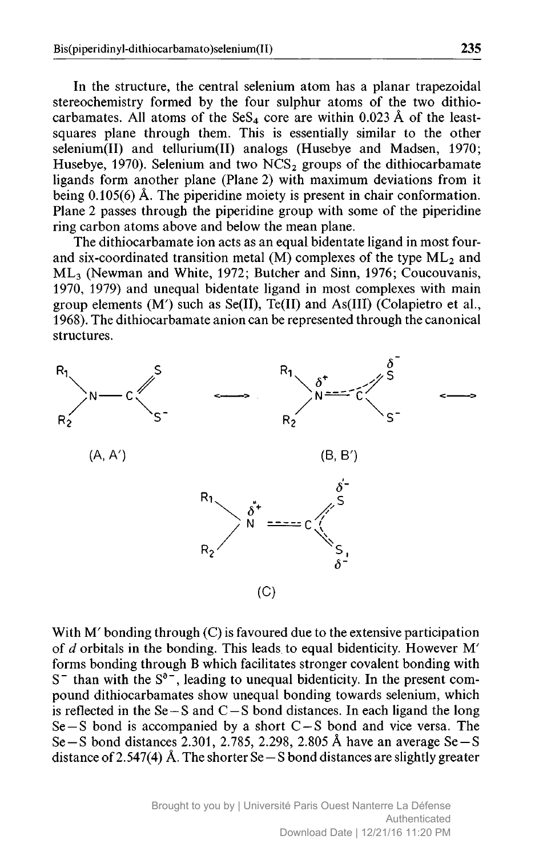In the structure, the central selenium atom has <sup>a</sup> planar trapezoidal stereochemistry formed by the four sulphur atoms of the two dithiocarbamates. All atoms of the  $SeS<sub>4</sub>$  core are within 0.023 Å of the leastsquares plane through them. This is essentially similar to the other selenium(II) and tellurium(II) analogs (Husebye and Madsen, 1970; Husebye, 1970). Selenium and two  $NCS_2$  groups of the dithiocarbamate ligands form another plane (Plane 2) with maximum deviations from it being 0.105(6) Å. The piperidine moiety is present in chair conformation. Plane <sup>2</sup> passes through the piperidine group with some of the piperidine ring carbon atoms above and below the mean plane.

The dithiocarbamate ion acts as an equal bidentate ligand in most fourand six-coordinated transition metal (M) complexes of the type  $ML_2$  and ML3 (Newman and White, 1972; Butcher and Sinn, 1976; Coucouvanis, 1970, 1979) and unequal bidentate ligand in most complexes with main group elements (M') such as Se(II), Te(II) and As(III) (Colapietro et al., 1968). The dithiocarbamate anion can be represented through the canonical structures.



With M' bonding through (C) is favoured due to the extensive participation of d orbitals in the bonding. This leads to equal bidenticity. However M' forms bonding through <sup>B</sup> which facilitates stronger covalent bonding with  $S^-$  than with the  $S^{\delta^-}$ , leading to unequal bidenticity. In the present compound dithiocarbamates show unequal bonding towards selenium, which is reflected in the  $Se-S$  and  $C-S$  bond distances. In each ligand the long  $Se-S$  bond is accompanied by a short  $C-S$  bond and vice versa. The  $Se-S$  bond distances 2.301, 2.785, 2.298, 2.805 Å have an average  $Se-S$ distance of 2.547(4) Å. The shorter Se  $-$  S bond distances are slightly greater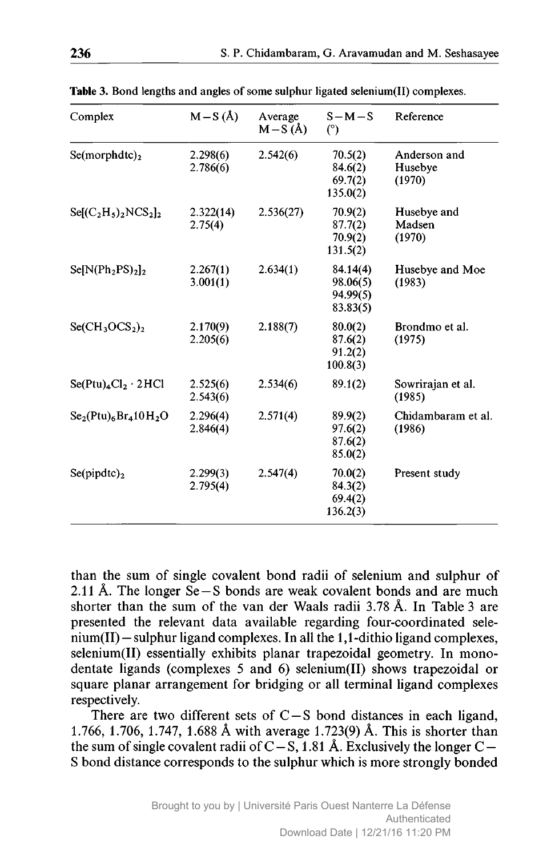| Complex                        | $M-S(\AA)$           | Average<br>$M-S(\AA)$ | $S-M-S$<br>(°)                               | Reference                         |
|--------------------------------|----------------------|-----------------------|----------------------------------------------|-----------------------------------|
| Se(morphdtc) <sub>2</sub>      | 2.298(6)<br>2.786(6) | 2.542(6)              | 70.5(2)<br>84.6(2)<br>69.7(2)<br>135.0(2)    | Anderson and<br>Husebye<br>(1970) |
| $\text{Se}[(C_2H_5)_2NCS_2]_2$ | 2.322(14)<br>2.75(4) | 2.536(27)             | 70.9(2)<br>87.7(2)<br>70.9(2)<br>131.5(2)    | Husebye and<br>Madsen<br>(1970)   |
| $Se[N(Ph2PS)2]$ <sub>2</sub>   | 2.267(1)<br>3.001(1) | 2.634(1)              | 84.14(4)<br>98.06(5)<br>94.99(5)<br>83.83(5) | Husebye and Moe<br>(1983)         |
| $Se(CH3OCS2)2$                 | 2.170(9)<br>2.205(6) | 2.188(7)              | 80.0(2)<br>87.6(2)<br>91.2(2)<br>100.8(3)    | Brondmo et al.<br>(1975)          |
| $Se(Ptu)_4Cl_2 \cdot 2 HCl$    | 2.525(6)<br>2.543(6) | 2.534(6)              | 89.1(2)                                      | Sowrirajan et al.<br>(1985)       |
| $Se2(Ptu)6Br410H2O$            | 2.296(4)<br>2.846(4) | 2.571(4)              | 89.9(2)<br>97.6(2)<br>87.6(2)<br>85.0(2)     | Chidambaram et al.<br>(1986)      |
| $Se(pipdtc)_{2}$               | 2.299(3)<br>2.795(4) | 2.547(4)              | 70.0(2)<br>84.3(2)<br>69.4(2)<br>136.2(3)    | Present study                     |

Table 3. Bond lengths and angles of some sulphur ligated selenium(II) complexes.

than the sum of single covalent bond radii of selenium and sulphur of 2.11 A. The longer Se-S bonds are weak covalent bonds and are much shorter than the sum of the van der Waals radii 3.78 A. In Table <sup>3</sup> are presented the relevant data available regarding four-coordinated selenium(II) sulphur ligand complexes. In all the 1,1-dithio ligand complexes, — selenium(II) essentially exhibits planar trapezoidal geometry. In monodentate ligands (complexes <sup>5</sup> and 6) selenium(II) shows trapezoidal or square planar arrangement for bridging or all terminal ligand complexes respectively.

There are two different sets of  $C-S$  bond distances in each ligand, 1.766, 1.706, 1.747, 1.688 A with average 1.723(9) A. This is shorter than the sum of single covalent radii of  $C - S$ , 1.81 Å. Exclusively the longer  $C -$ <sup>S</sup> bond distance corresponds to the sulphur which is more strongly bonded